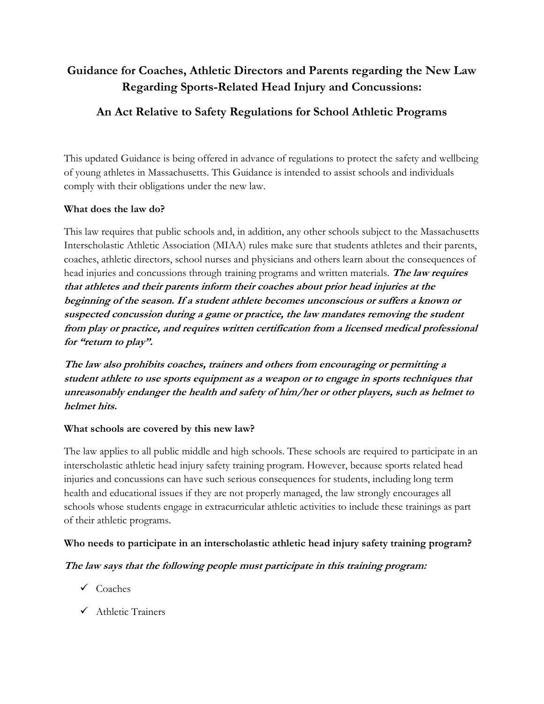# Guidance for Coaches, Athletic Directors and Parents regarding the New Law Regarding Sports-Related Head Injury and Concussions:

## An Act Relative to Safety Regulations for School Athletic Programs

This updated Guidance is being offered in advance of regulations to protect the safety and wellbeing of young athletes in Massachusetts. This Guidance is intended to assist schools and individuals comply with their obligations under the new law.

#### What does the law do?

This law requires that public schools and, in addition, any other schools subject to the Massachusetts Interscholastic Athletic Association (MIAA) rules make sure that students athletes and their parents, coaches, athletic directors, school nurses and physicians and others learn about the consequences of head injuries and concussions through training programs and written materials. The law requires that athletes and their parents inform their coaches about prior head injuries at the beginning of the season. If a student athlete becomes unconscious or suffers a known or suspected concussion during a game or practice, the law mandates removing the student from play or practice, and requires written certification from a licensed medical professional for "return to play".

The law also prohibits coaches, trainers and others from encouraging or permitting a student athlete to use sports equipment as a weapon or to engage in sports techniques that unreasonably endanger the health and safety of him/her or other players, such as helmet to helmet hits.

#### What schools are covered by this new law?

The law applies to all public middle and high schools. These schools are required to participate in an interscholastic athletic head injury safety training program. However, because sports related head injuries and concussions can have such serious consequences for students, including long term health and educational issues if they are not properly managed, the law strongly encourages all schools whose students engage in extracurricular athletic activities to include these trainings as part of their athletic programs.

#### Who needs to participate in an interscholastic athletic head injury safety training program?

#### The law says that the following people must participate in this training program:

- $\sqrt{C}$ oaches
- $\checkmark$  Athletic Trainers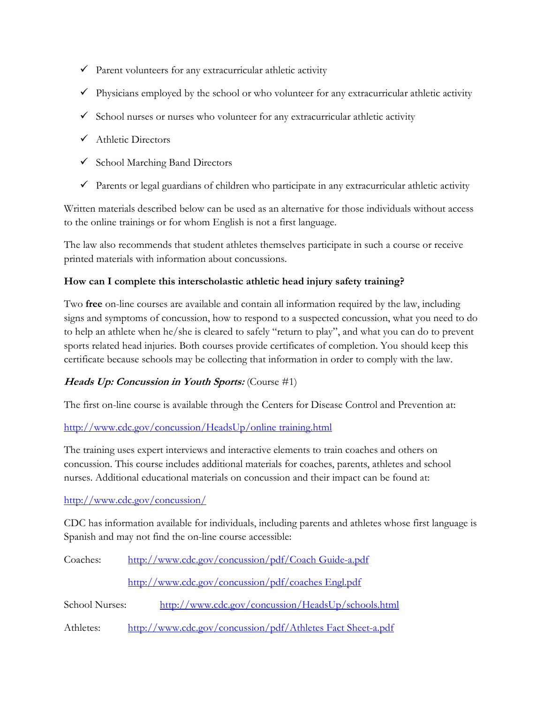- $\checkmark$  Parent volunteers for any extracurricular athletic activity
- $\checkmark$  Physicians employed by the school or who volunteer for any extracurricular athletic activity
- $\checkmark$  School nurses or nurses who volunteer for any extracurricular athletic activity
- $\checkmark$  Athletic Directors
- $\checkmark$  School Marching Band Directors
- $\checkmark$  Parents or legal guardians of children who participate in any extracurricular athletic activity

Written materials described below can be used as an alternative for those individuals without access to the online trainings or for whom English is not a first language.

The law also recommends that student athletes themselves participate in such a course or receive printed materials with information about concussions.

#### How can I complete this interscholastic athletic head injury safety training?

Two free on-line courses are available and contain all information required by the law, including signs and symptoms of concussion, how to respond to a suspected concussion, what you need to do to help an athlete when he/she is cleared to safely "return to play", and what you can do to prevent sports related head injuries. Both courses provide certificates of completion. You should keep this certificate because schools may be collecting that information in order to comply with the law.

#### Heads Up: Concussion in Youth Sports: (Course #1)

The first on-line course is available through the Centers for Disease Control and Prevention at:

#### http://www.cdc.gov/concussion/HeadsUp/online training.html

The training uses expert interviews and interactive elements to train coaches and others on concussion. This course includes additional materials for coaches, parents, athletes and school nurses. Additional educational materials on concussion and their impact can be found at:

#### http://www.cdc.gov/concussion/

CDC has information available for individuals, including parents and athletes whose first language is Spanish and may not find the on-line course accessible:

| Coaches:       | http://www.cdc.gov/concussion/pdf/Coach Guide-a.pdf         |
|----------------|-------------------------------------------------------------|
|                | http://www.cdc.gov/concussion/pdf/coaches Engl.pdf          |
| School Nurses: | http://www.cdc.gov/concussion/HeadsUp/schools.html          |
| Athletes:      | http://www.cdc.gov/concussion/pdf/Athletes Fact Sheet-a.pdf |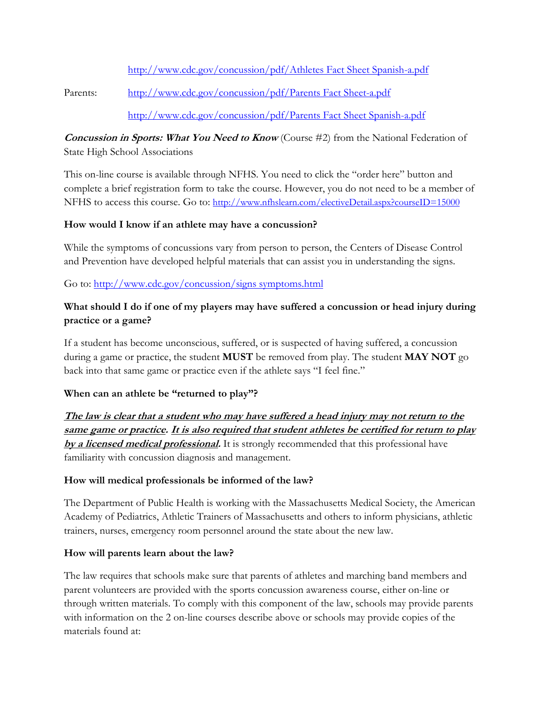http://www.cdc.gov/concussion/pdf/Athletes Fact Sheet Spanish-a.pdf

Parents: http://www.cdc.gov/concussion/pdf/Parents Fact Sheet-a.pdf

http://www.cdc.gov/concussion/pdf/Parents Fact Sheet Spanish-a.pdf

**Concussion in Sports: What You Need to Know** (Course #2) from the National Federation of State High School Associations

This on-line course is available through NFHS. You need to click the "order here" button and complete a brief registration form to take the course. However, you do not need to be a member of NFHS to access this course. Go to: http://www.nfhslearn.com/electiveDetail.aspx?courseID=15000

#### How would I know if an athlete may have a concussion?

While the symptoms of concussions vary from person to person, the Centers of Disease Control and Prevention have developed helpful materials that can assist you in understanding the signs.

Go to: http://www.cdc.gov/concussion/signs symptoms.html

### What should I do if one of my players may have suffered a concussion or head injury during practice or a game?

If a student has become unconscious, suffered, or is suspected of having suffered, a concussion during a game or practice, the student **MUST** be removed from play. The student **MAY NOT** go back into that same game or practice even if the athlete says "I feel fine."

#### When can an athlete be "returned to play"?

The law is clear that a student who may have suffered a head injury may not return to the same game or practice. It is also required that student athletes be certified for return to play by a licensed medical professional. It is strongly recommended that this professional have familiarity with concussion diagnosis and management.

#### How will medical professionals be informed of the law?

The Department of Public Health is working with the Massachusetts Medical Society, the American Academy of Pediatrics, Athletic Trainers of Massachusetts and others to inform physicians, athletic trainers, nurses, emergency room personnel around the state about the new law.

#### How will parents learn about the law?

The law requires that schools make sure that parents of athletes and marching band members and parent volunteers are provided with the sports concussion awareness course, either on-line or through written materials. To comply with this component of the law, schools may provide parents with information on the 2 on-line courses describe above or schools may provide copies of the materials found at: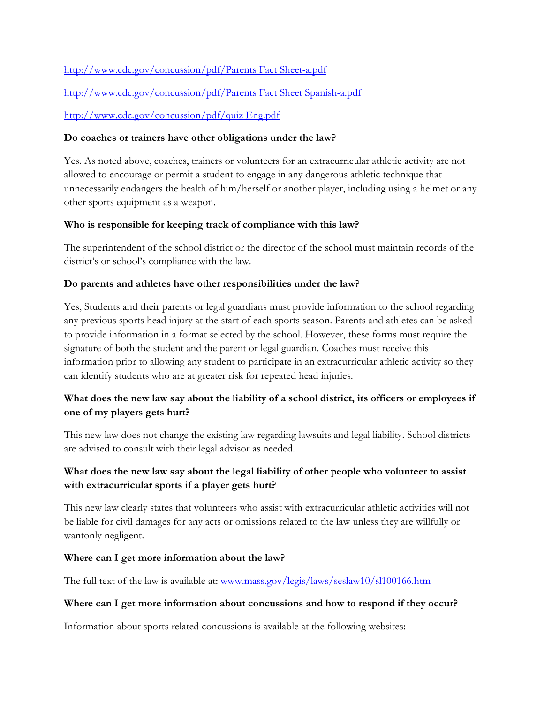http://www.cdc.gov/concussion/pdf/Parents Fact Sheet-a.pdf

http://www.cdc.gov/concussion/pdf/Parents Fact Sheet Spanish-a.pdf

http://www.cdc.gov/concussion/pdf/quiz Eng.pdf

#### Do coaches or trainers have other obligations under the law?

Yes. As noted above, coaches, trainers or volunteers for an extracurricular athletic activity are not allowed to encourage or permit a student to engage in any dangerous athletic technique that unnecessarily endangers the health of him/herself or another player, including using a helmet or any other sports equipment as a weapon.

#### Who is responsible for keeping track of compliance with this law?

The superintendent of the school district or the director of the school must maintain records of the district's or school's compliance with the law.

#### Do parents and athletes have other responsibilities under the law?

Yes, Students and their parents or legal guardians must provide information to the school regarding any previous sports head injury at the start of each sports season. Parents and athletes can be asked to provide information in a format selected by the school. However, these forms must require the signature of both the student and the parent or legal guardian. Coaches must receive this information prior to allowing any student to participate in an extracurricular athletic activity so they can identify students who are at greater risk for repeated head injuries.

## What does the new law say about the liability of a school district, its officers or employees if one of my players gets hurt?

This new law does not change the existing law regarding lawsuits and legal liability. School districts are advised to consult with their legal advisor as needed.

### What does the new law say about the legal liability of other people who volunteer to assist with extracurricular sports if a player gets hurt?

This new law clearly states that volunteers who assist with extracurricular athletic activities will not be liable for civil damages for any acts or omissions related to the law unless they are willfully or wantonly negligent.

#### Where can I get more information about the law?

The full text of the law is available at: www.mass.gov/legis/laws/seslaw10/sl100166.htm

#### Where can I get more information about concussions and how to respond if they occur?

Information about sports related concussions is available at the following websites: